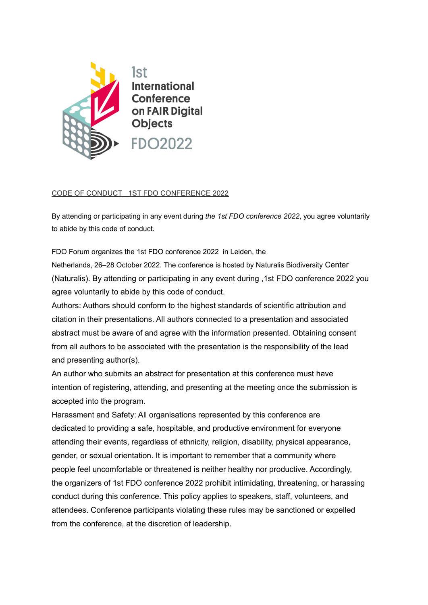

## CODE OF CONDUCT\_ 1ST FDO CONFERENCE 2022

By attending or participating in any event during *the 1st FDO conference 2022*, you agree voluntarily to abide by this code of conduct.

FDO Forum organizes the 1st FDO conference 2022 in Leiden, the

Netherlands, 26–28 October 2022. The conference is hosted by Naturalis Biodiversity Center (Naturalis). By attending or participating in any event during ,1st FDO conference 2022 you agree voluntarily to abide by this code of conduct.

Authors: Authors should conform to the highest standards of scientific attribution and citation in their presentations. All authors connected to a presentation and associated abstract must be aware of and agree with the information presented. Obtaining consent from all authors to be associated with the presentation is the responsibility of the lead and presenting author(s).

An author who submits an abstract for presentation at this conference must have intention of registering, attending, and presenting at the meeting once the submission is accepted into the program.

Harassment and Safety: All organisations represented by this conference are dedicated to providing a safe, hospitable, and productive environment for everyone attending their events, regardless of ethnicity, religion, disability, physical appearance, gender, or sexual orientation. It is important to remember that a community where people feel uncomfortable or threatened is neither healthy nor productive. Accordingly, the organizers of 1st FDO conference 2022 prohibit intimidating, threatening, or harassing conduct during this conference. This policy applies to speakers, staff, volunteers, and attendees. Conference participants violating these rules may be sanctioned or expelled from the conference, at the discretion of leadership.